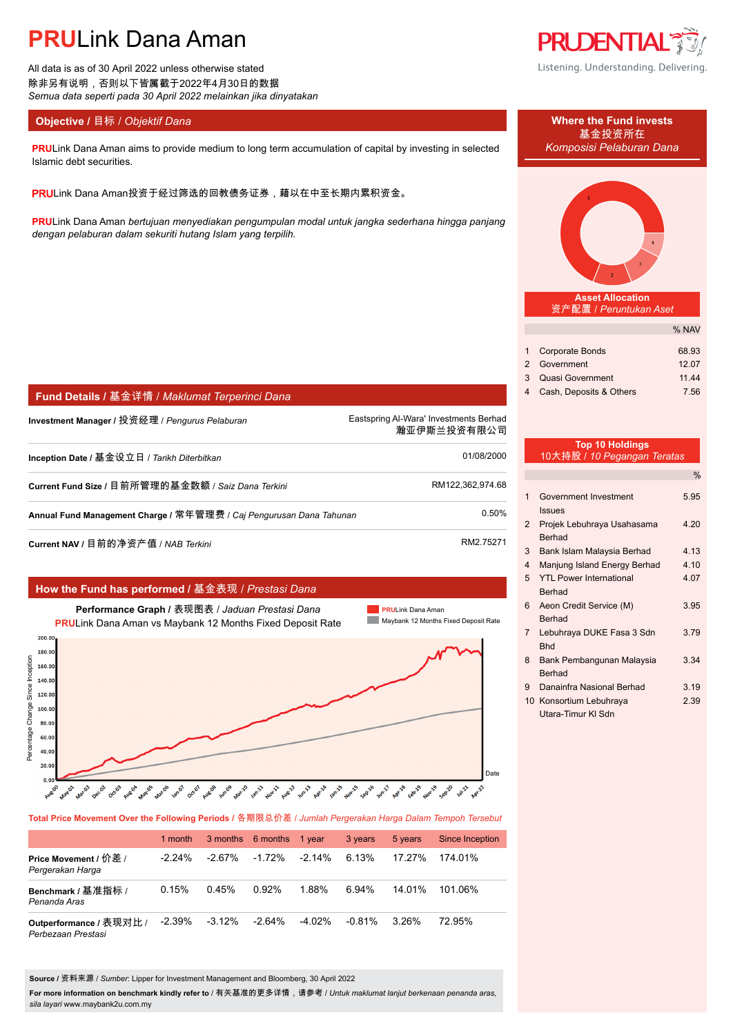# **PRU**Link Dana Aman

All data is as of 30 April 2022 unless otherwise stated 除非另有说明,否则以下皆属截于2022年4月30日的数据 *Semua data seperti pada 30 April 2022 melainkan jika dinyatakan*

**Fund Details /** 基金详情 / *Maklumat Terperinci Dana*

### **Objective / 目标 /** *Objektif Dana* **Where the Fund invests</u>**

**PRU**Link Dana Aman aims to provide medium to long term accumulation of capital by investing in selected *Komposisi Pelaburan Dana* Islamic debt securities.

PRULink Dana Aman投资于经过筛选的回教债务证券,藉以在中至长期内累积资金。

**PRU**Link Dana Aman *bertujuan menyediakan pengumpulan modal untuk jangka sederhana hingga panjang dengan pelaburan dalam sekuriti hutang Islam yang terpilih.*

**Investment Manager /** 投资经理 / *Pengurus Pelaburan* Eastspring Al-Wara' Investments Berhad.

**Inception Date /** 基金设立日 / *Tarikh Diterbitkan* 01/08/2000.

Current Fund Size / 目前所管理的基金数额 / Saiz Dana Terkini **RM122,362,974.68**.

**Annual Fund Management Charge /** 常年管理费 / *Caj Pengurusan Dana Tahunan* 0.50%.

**Current NAV /** 目前的净资产值 / *NAB Terkini* RM2.75271

|                                      |                                                                                                                       | How the Fund has performed / 基金表现 / Prestasi Dana                                                                                                                                                                                                          |                                                                                                                                       |
|--------------------------------------|-----------------------------------------------------------------------------------------------------------------------|------------------------------------------------------------------------------------------------------------------------------------------------------------------------------------------------------------------------------------------------------------|---------------------------------------------------------------------------------------------------------------------------------------|
|                                      |                                                                                                                       | Performance Graph / 表现图表 / Jaduan Prestasi Dana<br><b>PRULink Dana Aman vs Maybank 12 Months Fixed Deposit Rate</b>                                                                                                                                        | <b>PRULink Dana Aman</b><br>Maybank 12 Months Fixed Deposit Rate                                                                      |
| Since Inception<br>Percentage Change | 200.00<br>180.00<br>160.00<br>140.00<br>120.00<br>100.00<br>80.00<br>60.00<br>40.00<br>20.00<br>0.00<br><b>Rue OD</b> | nue.08<br>nar-20<br><b>Nov-15</b><br>nat.06<br><b>MAR</b> OS<br>1201.15<br><b>18405</b><br>occo7<br><b>0.05-1-A</b><br><b>12mg1</b><br><b>WA</b> V3<br>Occ.03<br><b>Nou-11</b><br>nues2<br>naroz<br><b>NUR OA</b><br><b>2012</b><br><b>124.01</b><br>neco2 | Date<br>way.19<br><b>API</b> 18<br>Celon <sup>19</sup><br>Gep-20<br>Gep-16<br><b>Mary 1</b><br><b>Ash</b><br><b>Agr</b> <sup>71</sup> |

**Total Price Movement Over the Following Periods /** 各期限总价差 / *Jumlah Pergerakan Harga Dalam Tempoh Tersebut*

|                                               | 1 month  |           | 3 months 6 months | 1 vear    | 3 years   | 5 years  | Since Inception |
|-----------------------------------------------|----------|-----------|-------------------|-----------|-----------|----------|-----------------|
| Price Movement / 价差 /<br>Pergerakan Harga     | $-224\%$ | $-2.67\%$ | $-1.72%$          | $-2.14\%$ | 6.13%     | 17.27%   | 174 01%         |
| Benchmark / 基准指标 /<br>Penanda Aras            | 0.15%    | 0.45%     | 0.92%             | 1.88%     | 6.94%     | 14 01%   | 101.06%         |
| Outperformance / 表现对比 /<br>Perbezaan Prestasi | $-2.39%$ | $-3.12\%$ | $-2.64\%$         | $-4.02\%$ | $-0.81\%$ | $3.26\%$ | 72.95%          |

**Source /** 资料来源 / *Sumber*: Lipper for Investment Management and Bloomberg, 30 April 2022

**For more information on benchmark kindly refer to** / 有关基准的更多详情,请参考 / *Untuk maklumat lanjut berkenaan penanda aras, sila layari* www.maybank2u.com.my



基金投资所在

**Asset Allocation** 资产配置 / *Peruntukan Aset*

|                           | % NAV |
|---------------------------|-------|
|                           |       |
| 1 Corporate Bonds         | 68.93 |
| 2 Government              | 12.07 |
| 3 Quasi Government        | 11.44 |
| 4 Cash, Deposits & Others | 7.56  |

### **Top 10 Holdings** 10大持股 / *10 Pegangan Teratas*

瀚亚伊斯兰投资有限公司.

|                |                                                              | $\%$ |
|----------------|--------------------------------------------------------------|------|
| $\mathbf 1$    | Government Investment                                        | 5.95 |
| $\mathcal{P}$  | <b>Issues</b><br>Projek Lebuhraya Usahasama<br><b>Berhad</b> | 4.20 |
| 3              | Bank Islam Malaysia Berhad                                   | 4.13 |
| $\overline{4}$ | Manjung Island Energy Berhad                                 | 4.10 |
| 5              | <b>YTL Power International</b>                               | 4.07 |
|                | <b>Berhad</b>                                                |      |
| 6              | Aeon Credit Service (M)                                      | 3.95 |
|                | Berhad                                                       |      |
| $\overline{7}$ | Lebuhraya DUKE Fasa 3 Sdn                                    | 3.79 |
|                | <b>Bhd</b>                                                   |      |
| 8              | Bank Pembangunan Malaysia                                    | 3.34 |
|                | Berhad                                                       |      |
| 9              | Danainfra Nasional Berhad                                    | 3.19 |
|                | 10 Konsortium Lebuhraya                                      | 2.39 |
|                | Utara-Timur KI Sdn                                           |      |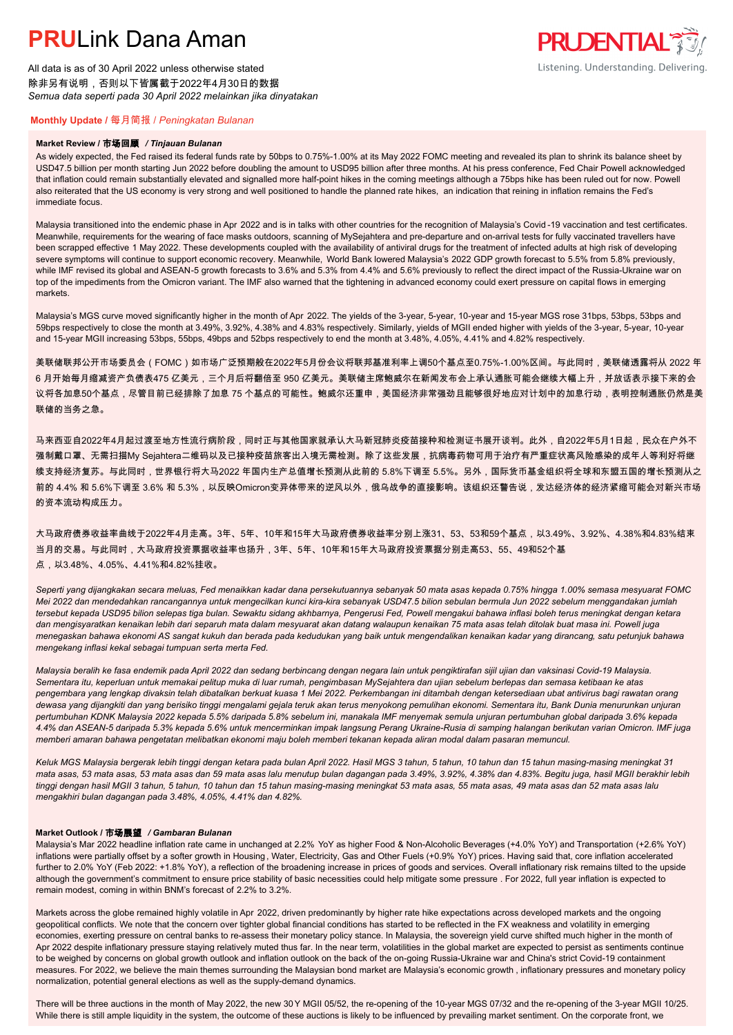# **PRUL** ink Dana Aman

All data is as of 30 April 2022 unless otherwise stated 除非另有说明,否则以下皆属截于2022年4月30日的数据 *Semua data seperti pada 30 April 2022 melainkan jika dinyatakan*

### **PRUDENTIAL** Listening. Understanding. Delivering.

### **Monthly Update /** 每月简报 / *Peningkatan Bulanan*

#### **Market Review /** 市场回顾 */ Tinjauan Bulanan*

As widely expected, the Fed raised its federal funds rate by 50bps to 0.75%-1.00% at its May 2022 FOMC meeting and revealed its plan to shrink its balance sheet by USD47.5 billion per month starting Jun 2022 before doubling the amount to USD95 billion after three months. At his press conference, Fed Chair Powell acknowledged that inflation could remain substantially elevated and signalled more half-point hikes in the coming meetings although a 75bps hike has been ruled out for now. Powell also reiterated that the US economy is very strong and well positioned to handle the planned rate hikes, an indication that reining in inflation remains the Fed's immediate focus.

Malaysia transitioned into the endemic phase in Apr 2022 and is in talks with other countries for the recognition of Malaysia's Covid-19 vaccination and test certificates. Meanwhile, requirements for the wearing of face masks outdoors, scanning of MySejahtera and pre-departure and on-arrival tests for fully vaccinated travellers have been scrapped effective 1 May 2022. These developments coupled with the availability of antiviral drugs for the treatment of infected adults at high risk of developing severe symptoms will continue to support economic recovery. Meanwhile, World Bank lowered Malaysia's 2022 GDP growth forecast to 5.5% from 5.8% previously, while IMF revised its global and ASEAN-5 growth forecasts to 3.6% and 5.3% from 4.4% and 5.6% previously to reflect the direct impact of the Russia-Ukraine war on top of the impediments from the Omicron variant. The IMF also warned that the tightening in advanced economy could exert pressure on capital flows in emerging markets.

Malaysia's MGS curve moved significantly higher in the month of Apr 2022. The yields of the 3-year, 5-year, 10-year and 15-year MGS rose 31bps, 53bps, 53bps and 59bps respectively to close the month at 3.49%, 3.92%, 4.38% and 4.83% respectively. Similarly, yields of MGII ended higher with yields of the 3-year, 5-year, 10-year and 15-year MGII increasing 53bps, 55bps, 49bps and 52bps respectively to end the month at 3.48%, 4.05%, 4.41% and 4.82% respectively.

美联储联邦公开市场委员会(FOMC)如市场广泛预期般在2022年5月份会议将联邦基准利率上调50个基点至0.75%-1.00%区间。与此同时,美联储透露将从 2022 年 6 月开始每月缩减资产负债表475 亿美元,三个月后将翻倍至 950 亿美元。美联储主席鲍威尔在新闻发布会上承认通胀可能会继续大幅上升,并放话表示接下来的会 议将各加息50个基点,尽管目前已经排除了加息 75 个基点的可能性。鲍威尔还重申,美国经济非常强劲且能够很好地应对计划中的加息行动,表明控制通胀仍然是美 联储的当务之急。

马来西亚自2022年4月起过渡至地方性流行病阶段,同时正与其他国家就承认大马新冠肺炎疫苗接种和检测证书展开谈判。此外,自2022年5月1日起,民众在户外不 强制戴口罩、无需扫描My Sejahtera二维码以及已接种疫苗旅客出入境无需检测。除了这些发展,抗病毒药物可用于治疗有严重症状高风险感染的成年人等利好将继 续支持经济复苏。与此同时,世界银行将大马2022 年国内生产总值增长预测从此前的 5.8%下调至 5.5%。另外,国际货币基金组织将全球和东盟五国的增长预测从之 前的 4.4% 和 5.6%下调至 3.6% 和 5.3%,以反映Omicron变异体带来的逆风以外,俄乌战争的直接影响。该组织还警告说,发达经济体的经济紧缩可能会对新兴市场 的资本流动构成压力。

大马政府债券收益率曲线于2022年4月走高。3年、5年、10年和15年大马政府债券收益率分别上涨31、53、53和59个基点,以3.49%、3.92%、4.38%和4.83%结束 当月的交易。与此同时,大马政府投资票据收益率也扬升,3年、5年、10年和15年大马政府投资票据分别走高53、55、49和52个基 点,以3.48%、4.05%、4.41%和4.82%挂收。

*Seperti yang dijangkakan secara meluas, Fed menaikkan kadar dana persekutuannya sebanyak 50 mata asas kepada 0.75% hingga 1.00% semasa mesyuarat FOMC Mei 2022 dan mendedahkan rancangannya untuk mengecilkan kunci kira-kira sebanyak USD47.5 bilion sebulan bermula Jun 2022 sebelum menggandakan jumlah tersebut kepada USD95 bilion selepas tiga bulan. Sewaktu sidang akhbarnya, Pengerusi Fed, Powell mengakui bahawa inflasi boleh terus meningkat dengan ketara dan mengisyaratkan kenaikan lebih dari separuh mata dalam mesyuarat akan datang walaupun kenaikan 75 mata asas telah ditolak buat masa ini. Powell juga menegaskan bahawa ekonomi AS sangat kukuh dan berada pada kedudukan yang baik untuk mengendalikan kenaikan kadar yang dirancang, satu petunjuk bahawa mengekang inflasi kekal sebagai tumpuan serta merta Fed.*

*Malaysia beralih ke fasa endemik pada April 2022 dan sedang berbincang dengan negara lain untuk pengiktirafan sijil ujian dan vaksinasi Covid-19 Malaysia. Sementara itu, keperluan untuk memakai pelitup muka di luar rumah, pengimbasan MySejahtera dan ujian sebelum berlepas dan semasa ketibaan ke atas pengembara yang lengkap divaksin telah dibatalkan berkuat kuasa 1 Mei 2022. Perkembangan ini ditambah dengan ketersediaan ubat antivirus bagi rawatan orang dewasa yang dijangkiti dan yang berisiko tinggi mengalami gejala teruk akan terus menyokong pemulihan ekonomi. Sementara itu, Bank Dunia menurunkan unjuran pertumbuhan KDNK Malaysia 2022 kepada 5.5% daripada 5.8% sebelum ini, manakala IMF menyemak semula unjuran pertumbuhan global daripada 3.6% kepada 4.4% dan ASEAN-5 daripada 5.3% kepada 5.6% untuk mencerminkan impak langsung Perang Ukraine-Rusia di samping halangan berikutan varian Omicron. IMF juga memberi amaran bahawa pengetatan melibatkan ekonomi maju boleh memberi tekanan kepada aliran modal dalam pasaran memuncul.*

*Keluk MGS Malaysia bergerak lebih tinggi dengan ketara pada bulan April 2022. Hasil MGS 3 tahun, 5 tahun, 10 tahun dan 15 tahun masing-masing meningkat 31 mata asas, 53 mata asas, 53 mata asas dan 59 mata asas lalu menutup bulan dagangan pada 3.49%, 3.92%, 4.38% dan 4.83%. Begitu juga, hasil MGII berakhir lebih tinggi dengan hasil MGII 3 tahun, 5 tahun, 10 tahun dan 15 tahun masing-masing meningkat 53 mata asas, 55 mata asas, 49 mata asas dan 52 mata asas lalu mengakhiri bulan dagangan pada 3.48%, 4.05%, 4.41% dan 4.82%.*

#### **Market Outlook /** 市场展望 */ Gambaran Bulanan*

Malaysia's Mar 2022 headline inflation rate came in unchanged at 2.2% YoY as higher Food & Non-Alcoholic Beverages (+4.0% YoY) and Transportation (+2.6% YoY) inflations were partially offset by a softer growth in Housing , Water, Electricity, Gas and Other Fuels (+0.9% YoY) prices. Having said that, core inflation accelerated further to 2.0% YoY (Feb 2022: +1.8% YoY), a reflection of the broadening increase in prices of goods and services. Overall inflationary risk remains tilted to the upside although the government's commitment to ensure price stability of basic necessities could help mitigate some pressure . For 2022, full year inflation is expected to remain modest, coming in within BNM's forecast of 2.2% to 3.2%.

Markets across the globe remained highly volatile in Apr 2022, driven predominantly by higher rate hike expectations across developed markets and the ongoing geopolitical conflicts. We note that the concern over tighter global financial conditions has started to be reflected in the FX weakness and volatility in emerging economies, exerting pressure on central banks to re-assess their monetary policy stance. In Malaysia, the sovereign yield curve shifted much higher in the month of Apr 2022 despite inflationary pressure staying relatively muted thus far. In the near term, volatilities in the global market are expected to persist as sentiments continue to be weighed by concerns on global growth outlook and inflation outlook on the back of the on-going Russia-Ukraine war and China's strict Covid-19 containment measures. For 2022, we believe the main themes surrounding the Malaysian bond market are Malaysia's economic growth , inflationary pressures and monetary policy normalization, potential general elections as well as the supply-demand dynamics.

There will be three auctions in the month of May 2022, the new 30 Y MGII 05/52, the re-opening of the 10-year MGS 07/32 and the re-opening of the 3-year MGII 10/25. While there is still ample liquidity in the system, the outcome of these auctions is likely to be influenced by prevailing market sentiment. On the corporate front, we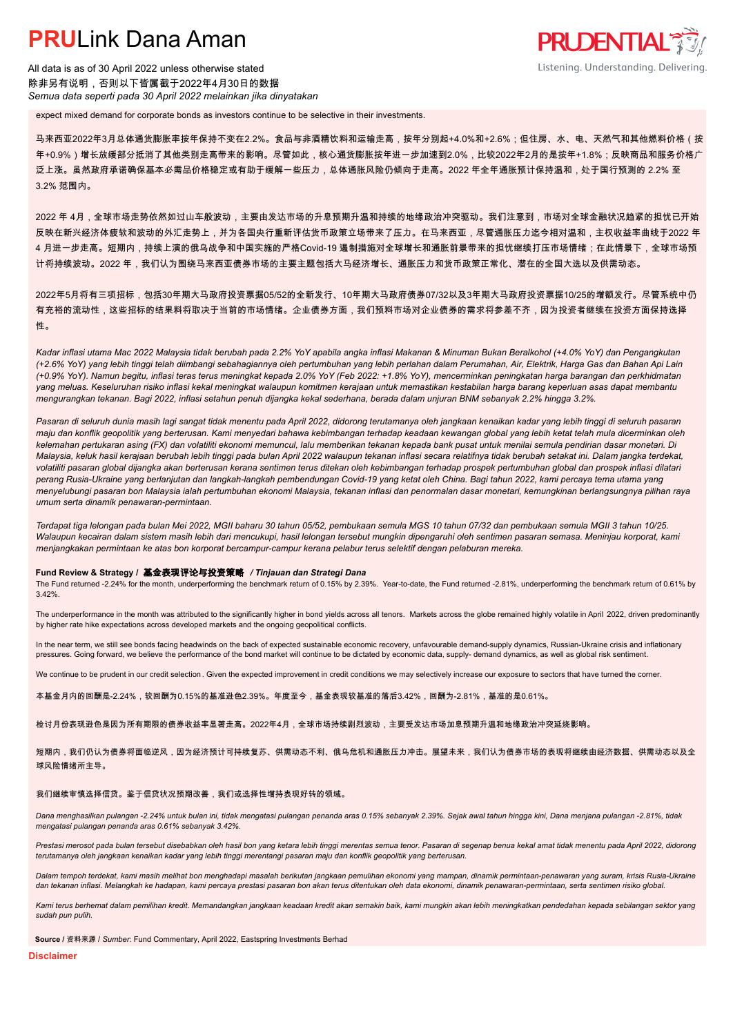## **PRUL** ink Dana Aman

All data is as of 30 April 2022 unless otherwise stated 除非另有说明,否则以下皆属截于2022年4月30日的数据 *Semua data seperti pada 30 April 2022 melainkan jika dinyatakan*

expect mixed demand for corporate bonds as investors continue to be selective in their investments.

马来西亚2022年3月总体通货膨胀率按年保持不变在2.2%。食品与非酒精饮料和运输走高,按年分别起+4.0%和+2.6%;但住房、水、电、天然气和其他燃料价格(按 年+0.9%)增长放缓部分抵消了其他类别走高带来的影响。尽管如此,核心通货膨胀按年进一步加速到2.0%,比较2022年2月的是按年+1.8%;反映商品和服务价格广 泛上涨。虽然政府承诺确保基本必需品价格稳定或有助于缓解一些压力,总体通胀风险仍倾向于走高。2022 年全年通胀预计保持温和,处于国行预测的 2.2% 至 3.2% 范围内。

**PRUDENTIAL** 

Listening. Understanding. Delivering.

2022 年 4月,全球市场走势依然如过山车般波动,主要由发达市场的升息预期升温和持续的地缘政治冲突驱动。我们注意到,市场对全球金融状况趋紧的担忧已开始 反映在新兴经济体疲软和波动的外汇走势上,并为各国央行重新评估货币政策立场带来了压力。在马来西亚,尽管通胀压力迄今相对温和,主权收益率曲线于2022 年 4 月进一步走高。短期内,持续上演的俄乌战争和中国实施的严格Covid-19 遏制措施对全球增长和通胀前景带来的担忧继续打压市场情绪;在此情景下,全球市场预 计将持续波动。2022 年,我们认为围绕马来西亚债券市场的主要主题包括大马经济增长、通胀压力和货币政策正常化、潜在的全国大选以及供需动态。

2022年5月将有三项招标,包括30年期大马政府投资票据05/52的全新发行、10年期大马政府债券07/32以及3年期大马政府投资票据10/25的增额发行。尽管系统中仍 有充裕的流动性,这些招标的结果料将取决于当前的市场情绪。企业债券方面,我们预料市场对企业债券的需求将参差不齐,因为投资者继续在投资方面保持选择 性。

*Kadar inflasi utama Mac 2022 Malaysia tidak berubah pada 2.2% YoY apabila angka inflasi Makanan & Minuman Bukan Beralkohol (+4.0% YoY) dan Pengangkutan (+2.6% YoY) yang lebih tinggi telah diimbangi sebahagiannya oleh pertumbuhan yang lebih perlahan dalam Perumahan, Air, Elektrik, Harga Gas dan Bahan Api Lain (+0.9% YoY). Namun begitu, inflasi teras terus meningkat kepada 2.0% YoY (Feb 2022: +1.8% YoY), mencerminkan peningkatan harga barangan dan perkhidmatan yang meluas. Keseluruhan risiko inflasi kekal meningkat walaupun komitmen kerajaan untuk memastikan kestabilan harga barang keperluan asas dapat membantu mengurangkan tekanan. Bagi 2022, inflasi setahun penuh dijangka kekal sederhana, berada dalam unjuran BNM sebanyak 2.2% hingga 3.2%.*

*Pasaran di seluruh dunia masih lagi sangat tidak menentu pada April 2022, didorong terutamanya oleh jangkaan kenaikan kadar yang lebih tinggi di seluruh pasaran maju dan konflik geopolitik yang berterusan. Kami menyedari bahawa kebimbangan terhadap keadaan kewangan global yang lebih ketat telah mula dicerminkan oleh kelemahan pertukaran asing (FX) dan volatiliti ekonomi memuncul, lalu memberikan tekanan kepada bank pusat untuk menilai semula pendirian dasar monetari. Di Malaysia, keluk hasil kerajaan berubah lebih tinggi pada bulan April 2022 walaupun tekanan inflasi secara relatifnya tidak berubah setakat ini. Dalam jangka terdekat, volatiliti pasaran global dijangka akan berterusan kerana sentimen terus ditekan oleh kebimbangan terhadap prospek pertumbuhan global dan prospek inflasi dilatari perang Rusia-Ukraine yang berlanjutan dan langkah-langkah pembendungan Covid-19 yang ketat oleh China. Bagi tahun 2022, kami percaya tema utama yang menyelubungi pasaran bon Malaysia ialah pertumbuhan ekonomi Malaysia, tekanan inflasi dan penormalan dasar monetari, kemungkinan berlangsungnya pilihan raya umum serta dinamik penawaran-permintaan.*

*Terdapat tiga lelongan pada bulan Mei 2022, MGII baharu 30 tahun 05/52, pembukaan semula MGS 10 tahun 07/32 dan pembukaan semula MGII 3 tahun 10/25. Walaupun kecairan dalam sistem masih lebih dari mencukupi, hasil lelongan tersebut mungkin dipengaruhi oleh sentimen pasaran semasa. Meninjau korporat, kami menjangkakan permintaan ke atas bon korporat bercampur-campur kerana pelabur terus selektif dengan pelaburan mereka.*

#### **Fund Review & Strategy /** 基金表现评论与投资策略 */ Tinjauan dan Strategi Dana*

The Fund returned -2.24% for the month, underperforming the benchmark return of 0.15% by 2.39%. Year-to-date, the Fund returned -2.81%, underperforming the benchmark return of 0.61% by 3.42%.

The underperformance in the month was attributed to the significantly higher in bond yields across all tenors. Markets across the globe remained highly volatile in April 2022, driven predominantly by higher rate hike expectations across developed markets and the ongoing geopolitical conflicts.

In the near term, we still see bonds facing headwinds on the back of expected sustainable economic recovery, unfavourable demand-supply dynamics, Russian-Ukraine crisis and inflationary pressures. Going forward, we believe the performance of the bond market will continue to be dictated by economic data, supply- demand dynamics, as well as global risk sentiment.

We continue to be prudent in our credit selection. Given the expected improvement in credit conditions we may selectively increase our exposure to sectors that have turned the corner.

本基金月内的回酬是-2.24%,较回酬为0.15%的基准逊色2.39%。年度至今,基金表现较基准的落后3.42%,回酬为-2.81%,基准的是0.61%。

检讨月份表现逊色是因为所有期限的债券收益率显著走高。2022年4月,全球市场持续剧烈波动,主要受发达市场加息预期升温和地缘政治冲突延烧影响。

短期内,我们仍认为债券将面临逆风,因为经济预计可持续复苏、供需动态不利、俄乌危机和通胀压力冲击。展望未来,我们认为债券市场的表现将继续由经济数据、供需动态以及全 球风险情绪所主导。

#### 我们继续审慎选择信贷。鉴于信贷状况预期改善,我们或选择性增持表现好转的领域。

*Dana menghasilkan pulangan -2.24% untuk bulan ini, tidak mengatasi pulangan penanda aras 0.15% sebanyak 2.39%. Sejak awal tahun hingga kini, Dana menjana pulangan -2.81%, tidak mengatasi pulangan penanda aras 0.61% sebanyak 3.42%.*

Prestasi merosot pada bulan tersebut disebabkan oleh hasil bon yang ketara lebih tinggi merentas semua tenor. Pasaran di segenap benua kekal amat tidak menentu pada April 2022, didorong *terutamanya oleh jangkaan kenaikan kadar yang lebih tinggi merentangi pasaran maju dan konflik geopolitik yang berterusan.*

*Dalam tempoh terdekat, kami masih melihat bon menghadapi masalah berikutan jangkaan pemulihan ekonomi yang mampan, dinamik permintaan-penawaran yang suram, krisis Rusia-Ukraine dan tekanan inflasi. Melangkah ke hadapan, kami percaya prestasi pasaran bon akan terus ditentukan oleh data ekonomi, dinamik penawaran-permintaan, serta sentimen risiko global.*

*Kami terus berhemat dalam pemilihan kredit. Memandangkan jangkaan keadaan kredit akan semakin baik, kami mungkin akan lebih meningkatkan pendedahan kepada sebilangan sektor yang sudah pun pulih.*

**Source /** 资料来源 / *Sumber*: Fund Commentary, April 2022, Eastspring Investments Berhad

**Disclaimer**